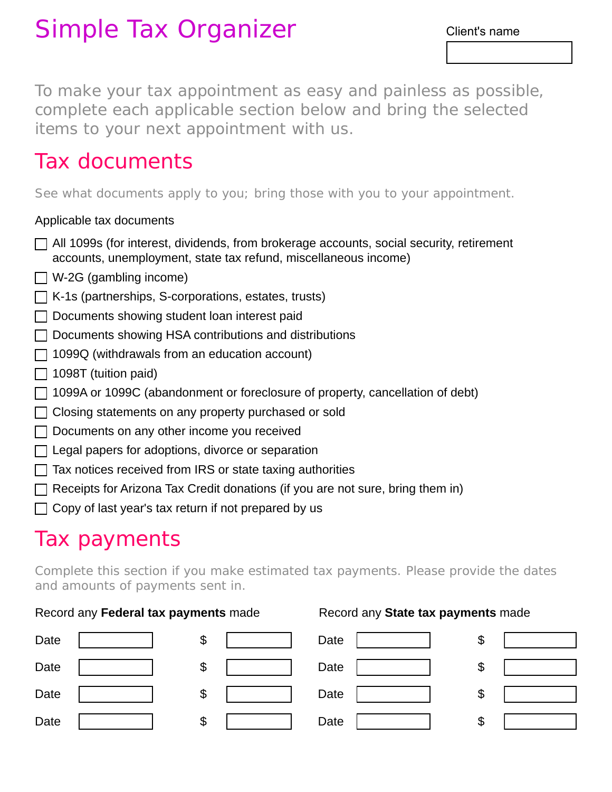# Simple Tax Organizer

To make your tax appointment as easy and painless as possible, complete each applicable section below and bring the selected items to your next appointment with us.

## Tax documents

See what documents apply to you; bring those with you to your appointment.

### Applicable tax documents

- $\Box$  All 1099s (for interest, dividends, from brokerage accounts, social security, retirement accounts, unemployment, state tax refund, miscellaneous income)
- $\Box$  W-2G (gambling income)
- $\Box$  K-1s (partnerships, S-corporations, estates, trusts)
- Documents showing student loan interest paid
- $\Box$  Documents showing HSA contributions and distributions
- $\Box$  1099Q (withdrawals from an education account)
- $\Box$  1098T (tuition paid)
- $\Box$  1099A or 1099C (abandonment or foreclosure of property, cancellation of debt)
- $\Box$  Closing statements on any property purchased or sold
- $\Box$  Documents on any other income you received
- $\Box$  Legal papers for adoptions, divorce or separation
- $\Box$  Tax notices received from IRS or state taxing authorities
- $\Box$  Receipts for Arizona Tax Credit donations (if you are not sure, bring them in)
- $\Box$  Copy of last year's tax return if not prepared by us

## Tax payments

Complete this section if you make estimated tax payments. Please provide the dates and amounts of payments sent in.

### Record any Federal tax payments made Record any State tax payments made

| Date | \$ | Date | \$ |  |
|------|----|------|----|--|
| Date | \$ | Date | \$ |  |
| Date | \$ | Date | \$ |  |
| Date | \$ | Date | \$ |  |